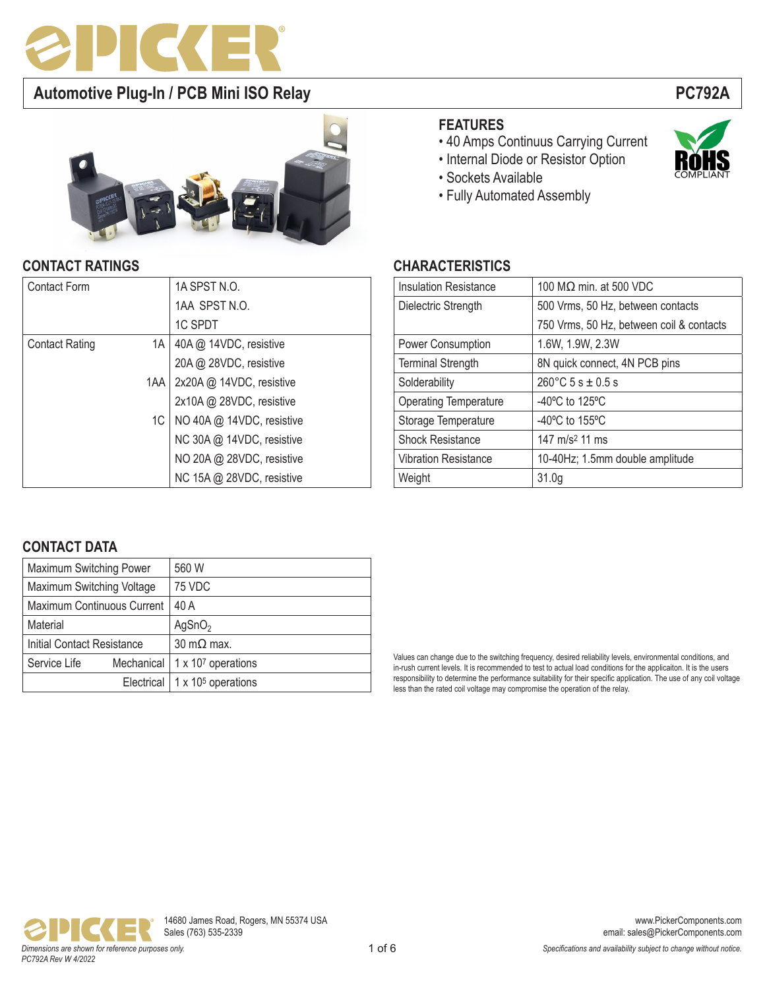



## **CONTACT RATINGS CHARACTERISTICS**

| <b>Contact Form</b>         | 1A SPST N.O.              |
|-----------------------------|---------------------------|
|                             | 1AA SPST N.O.             |
|                             | 1C SPDT                   |
| <b>Contact Rating</b><br>1A | 40A @ 14VDC, resistive    |
|                             | 20A @ 28VDC, resistive    |
| 1AA                         | 2x20A @ 14VDC, resistive  |
|                             | 2x10A @ 28VDC, resistive  |
| 1C                          | NO 40A @ 14VDC, resistive |
|                             | NC 30A @ 14VDC, resistive |
|                             | NO 20A @ 28VDC, resistive |
|                             | NC 15A @ 28VDC, resistive |

## **FEATURES**

- 40 Amps Continuus Carrying Current
- Internal Diode or Resistor Option
- Sockets Available
- Fully Automated Assembly

| <b>Insulation Resistance</b> | 100 MΩ min. at 500 VDC                   |  |  |  |
|------------------------------|------------------------------------------|--|--|--|
| Dielectric Strength          | 500 Vrms, 50 Hz, between contacts        |  |  |  |
|                              | 750 Vrms, 50 Hz, between coil & contacts |  |  |  |
| Power Consumption            | 1.6W, 1.9W, 2.3W                         |  |  |  |
| <b>Terminal Strength</b>     | 8N quick connect, 4N PCB pins            |  |  |  |
| Solderability                | $260^{\circ}$ C 5 s $\pm$ 0.5 s          |  |  |  |
| <b>Operating Temperature</b> | $-40^{\circ}$ C to 125 $^{\circ}$ C      |  |  |  |
| Storage Temperature          | $-40^{\circ}$ C to 155 $^{\circ}$ C      |  |  |  |
| <b>Shock Resistance</b>      | 147 m/s <sup>2</sup> 11 ms               |  |  |  |
| <b>Vibration Resistance</b>  | 10-40Hz; 1.5mm double amplitude          |  |  |  |
| Weight                       | 31.0 <sub>g</sub>                        |  |  |  |

## **CONTACT DATA**

| Maximum Switching Power           | 560 W                                   |  |  |
|-----------------------------------|-----------------------------------------|--|--|
| Maximum Switching Voltage         | 75 VDC                                  |  |  |
| Maximum Continuous Current        | 40 A                                    |  |  |
| Material                          | AgSnO <sub>2</sub>                      |  |  |
| <b>Initial Contact Resistance</b> | $30 \text{ m}\Omega$ max.               |  |  |
| Service Life                      | Mechanical   $1 \times 10^7$ operations |  |  |
|                                   | Electrical   $1 \times 10^5$ operations |  |  |

Values can change due to the switching frequency, desired reliability levels, environmental conditions, and in-rush current levels. It is recommended to test to actual load conditions for the applicaiton. It is the users responsibility to determine the performance suitability for their specific application. The use of any coil voltage less than the rated coil voltage may compromise the operation of the relay.

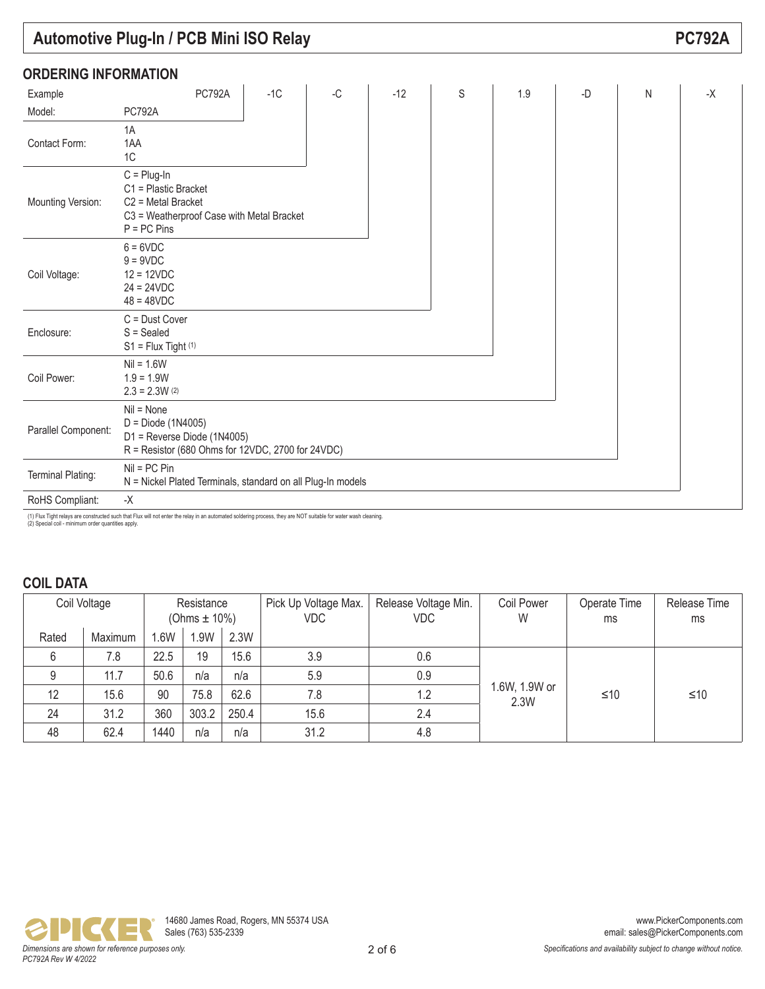|                             | <b>Automotive Plug-In / PCB Mini ISO Relay</b>                                                                              |       |    |       |   |     |    |   | <b>PC792A</b> |
|-----------------------------|-----------------------------------------------------------------------------------------------------------------------------|-------|----|-------|---|-----|----|---|---------------|
| <b>ORDERING INFORMATION</b> |                                                                                                                             |       |    |       |   |     |    |   |               |
| Example                     | <b>PC792A</b>                                                                                                               | $-1C$ | -C | $-12$ | S | 1.9 | -D | N | $-X$          |
| Model:                      | <b>PC792A</b>                                                                                                               |       |    |       |   |     |    |   |               |
| Contact Form:               | 1A<br>1AA<br>1C                                                                                                             |       |    |       |   |     |    |   |               |
| Mounting Version:           | $C =$ Plug-In<br>C1 = Plastic Bracket<br>$C2$ = Metal Bracket<br>C3 = Weatherproof Case with Metal Bracket<br>$P = PC Pins$ |       |    |       |   |     |    |   |               |
| Coil Voltage:               | $6 = 6VDC$<br>$9 = 9VDC$<br>$12 = 12VDC$<br>$24 = 24VDC$<br>$48 = 48VDC$                                                    |       |    |       |   |     |    |   |               |
| Enclosure:                  | $C =$ Dust Cover<br>$S = S$ ealed<br>$S1 = Flux$ Tight (1)                                                                  |       |    |       |   |     |    |   |               |
| Coil Power:                 | $Nil = 1.6W$<br>$1.9 = 1.9W$<br>$2.3 = 2.3W(2)$                                                                             |       |    |       |   |     |    |   |               |
| Parallel Component:         | $Nil = None$<br>D = Diode (1N4005)<br>D1 = Reverse Diode (1N4005)<br>R = Resistor (680 Ohms for 12VDC, 2700 for 24VDC)      |       |    |       |   |     |    |   |               |
| Terminal Plating:           | $Nil = PC Pin$<br>N = Nickel Plated Terminals, standard on all Plug-In models                                               |       |    |       |   |     |    |   |               |
| RoHS Compliant:             | -Х                                                                                                                          |       |    |       |   |     |    |   |               |

(1) Flux Tight relays are constructed such that Flux will not enter the relay in an automated soldering process, they are NOT suitable for water wash cleaning. (2) Special coil - minimum order quantities apply.

## **COIL DATA**

|       | Coil Voltage | Resistance<br>(Ohms $\pm$ 10%) |       |       | Pick Up Voltage Max.<br><b>VDC</b> | Release Voltage Min.<br><b>VDC</b> | Coil Power<br>W       | Operate Time<br>ms | Release Time<br>ms |
|-------|--------------|--------------------------------|-------|-------|------------------------------------|------------------------------------|-----------------------|--------------------|--------------------|
| Rated | Maximum      | .6W                            | l.9W  | 2.3W  |                                    |                                    |                       |                    |                    |
| 6     | 7.8          | 22.5                           | 19    | 15.6  | 3.9                                | 0.6                                |                       |                    |                    |
| 9     | 11.7         | 50.6                           | n/a   | n/a   | 5.9                                | 0.9                                |                       |                    |                    |
| 12    | 15.6         | 90                             | 75.8  | 62.6  | 7.8                                | 1.2                                | 1.6W, 1.9W or<br>2.3W | ≤10                | ≤10                |
| 24    | 31.2         | 360                            | 303.2 | 250.4 | 15.6                               | 2.4                                |                       |                    |                    |
| 48    | 62.4         | 1440                           | n/a   | n/a   | 31.2                               | 4.8                                |                       |                    |                    |

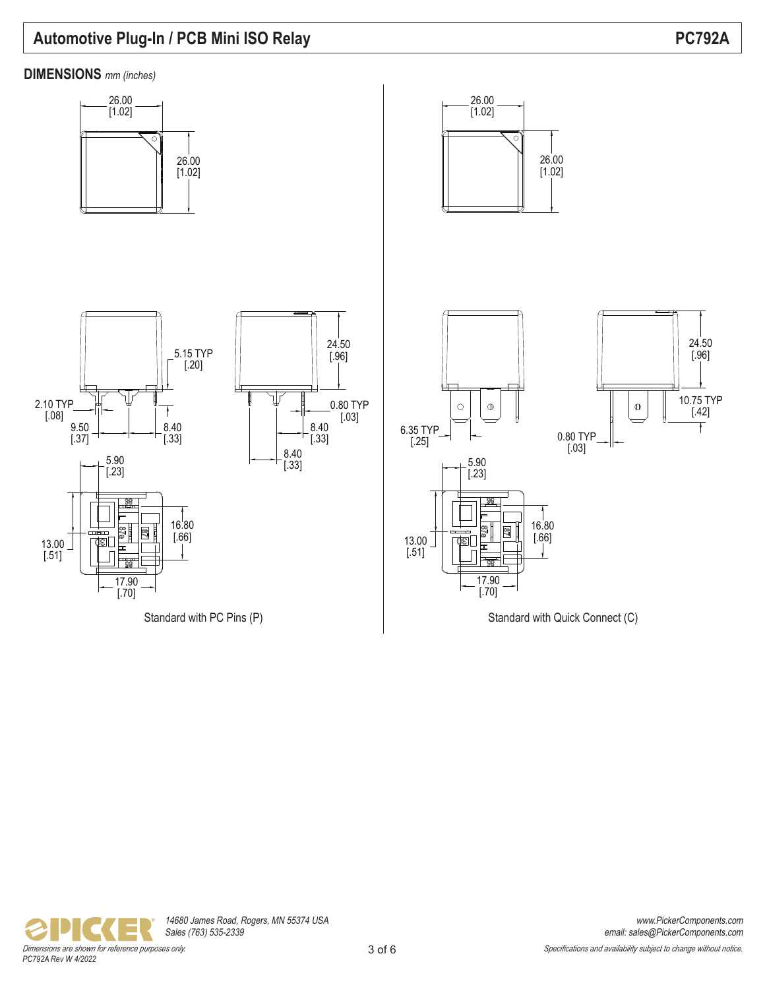

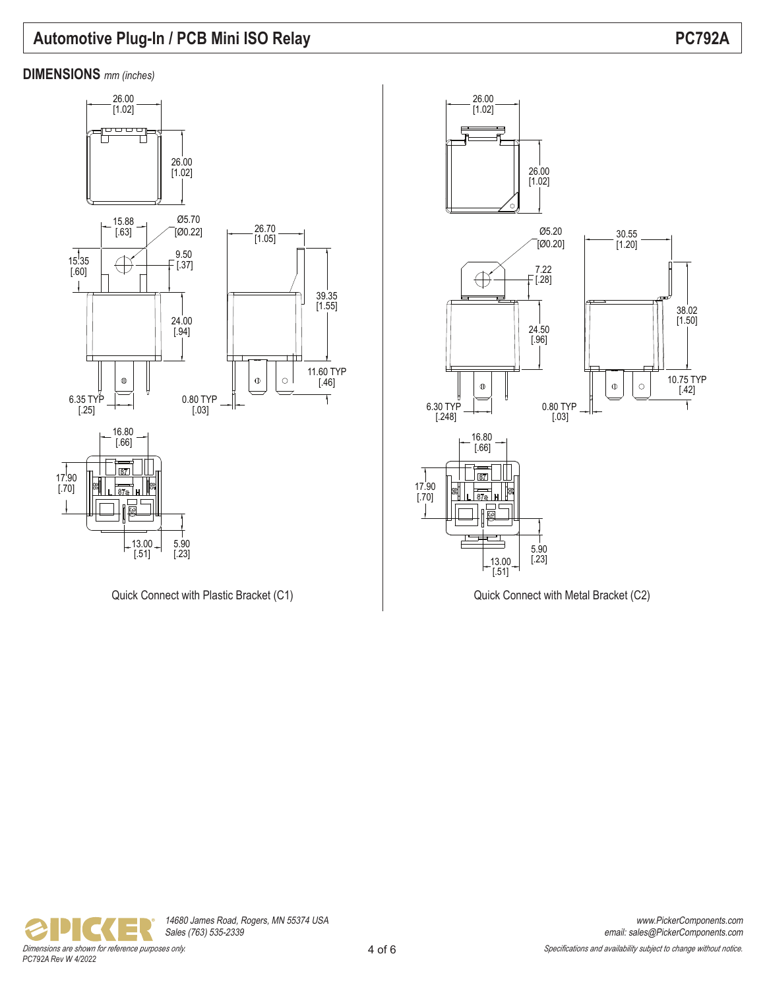38.02 [1.50]

10.75 TYP [.42]

Ŧ

 $\circ$ 



Quick Connect with Plastic Bracket (C1)  $\qquad$  Quick Connect with Metal Bracket (C2)

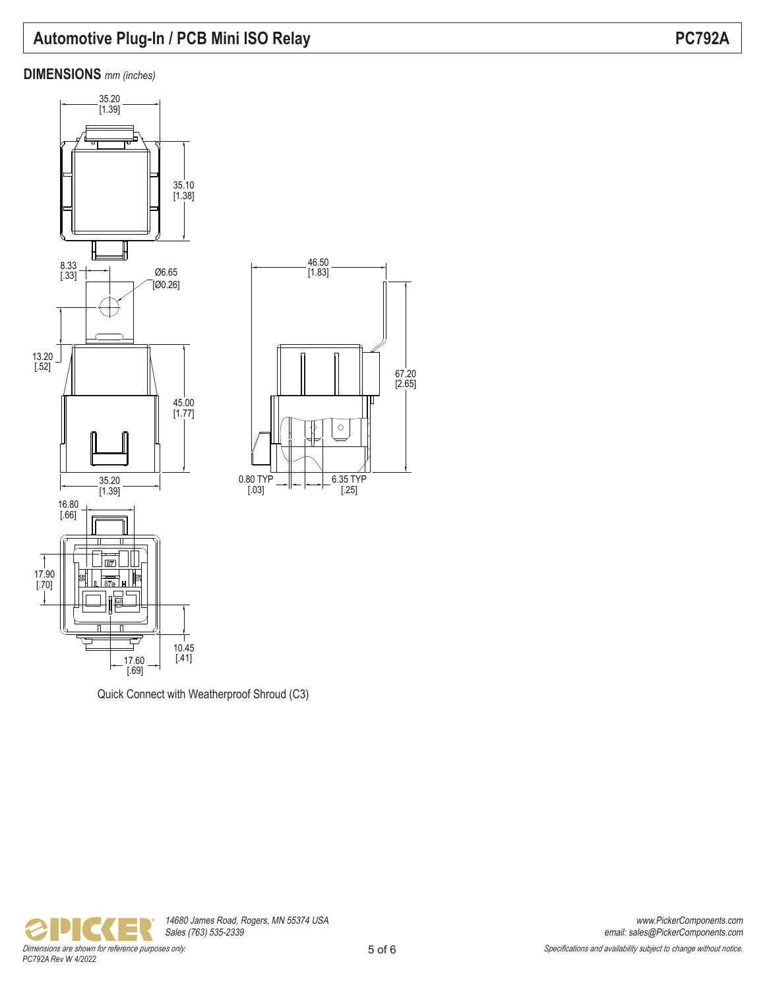### **DIMENSIONS** *mm (inches)*







67.20 [2.65]